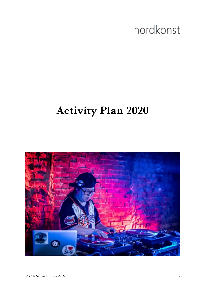# nordkonst

## **Activity Plan 2020**

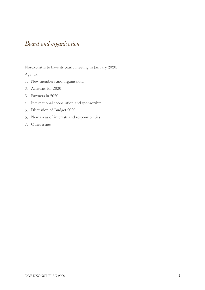### *Board and organisation*

Nordkonst is to have its yearly meeting in January 2020.

Agenda:

- 1. New members and organisaion.
- 2. Activities for 2020
- 3. Partners in 2020
- 4. International cooperation and sponsorship
- 5. Discussion of Budget 2020.
- 6. New areas of interests and responsibilities
- 7. Other issues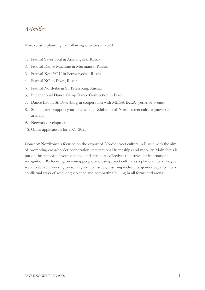#### *Activities*

Nordkonst is planning the following activities in 2020:

- 1. Festival Sever Soul in Arkhangelsk, Russia.
- 2. Festival Dance Machine in Murmansk, Russia.
- 3. Festival KeshYOU in Petrozavodsk, Russia.
- 4. Festival XO in Pskov, Russia.
- 5. Festival Nordvibe in St. Petersburg, Russia.
- 6. International Dance Camp Dance Connection in Pskov
- 7. Dance Lab in St. Petersburg in cooperation with MEGA IKEA (series of events)
- 8. Subcultures: Support your local scene. Exhibition of Nordic street culture (movebale artefact).
- 9. Network development
- 10. Grant applications for 2021-2023

Concept: Nordkonst is focused on the export of Nordic street culture in Russia with the aim of promoting cross-border cooperation, international friendships and mobility. Main focus is put on the support of young people and street art collectives that strive for international recognition. By focusing on young people and using street culture as a platform for dialogue we also actively working on solving societal issues, ensuring inclusivity, gender equality, nonconflictual ways of resolving violence and combatting bulling in all forms and arenas.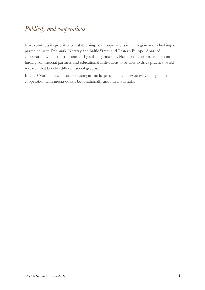## *Publicity and cooperations*

Nordkosnt sets its priorities on establishing new cooperations in the region and is looking for partnerships in Denmark, Norway, the Baltic States and Eastern Europe. Apart of cooperating with art institutions and youth organisaions, Nordkonst also sets its focus on finding commercial partners and educational institutions to be able to drive practice based research that benefits different social groups.

In 2020 Nordkonst aims at increasing its media presence by more actively engaging in cooperation with media outlets both nationally and internationally.